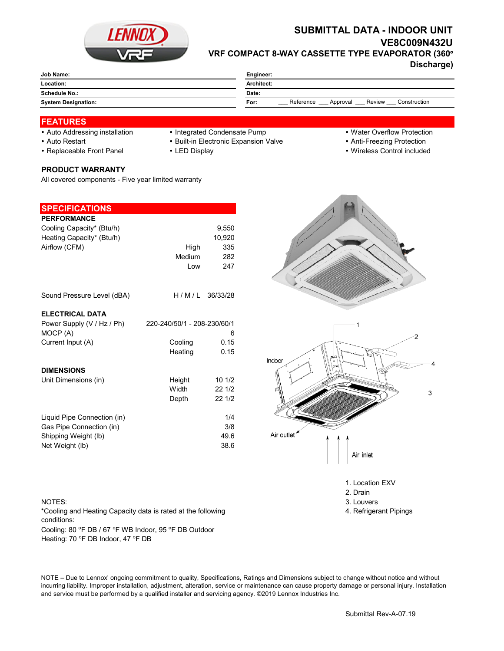

# **SUBMITTAL DATA - INDOOR UNIT VE8C009N432U VRF COMPACT 8-WAY CASSETTE TYPE EVAPORATOR (360°**

**Discharge)**

| Job Name:                  | Engineer:                                               |  |  |
|----------------------------|---------------------------------------------------------|--|--|
| Location:                  | Architect:                                              |  |  |
| Schedule No.:              | Date:                                                   |  |  |
| <b>System Designation:</b> | Reference<br>Review<br>Construction<br>For:<br>Approval |  |  |
|                            |                                                         |  |  |

### **FEATURES**

- Auto Addressing installation Integrated Condensate Pump Water Overflow Protection
	-
- 
- 

### • Auto Restart **Built-in Electronic Expansion Valve Anti-Freezing Protection** • Anti-Freezing Protection

- 
- 
- Replaceable Front Panel LED Display Wireless Control included

#### **PRODUCT WARRANTY**

All covered components - Five year limited warranty

| <b>SPECIFICATIONS</b>                                                                              |                                                   |                                      |
|----------------------------------------------------------------------------------------------------|---------------------------------------------------|--------------------------------------|
| <b>PERFORMANCE</b><br>Cooling Capacity* (Btu/h)<br>Heating Capacity* (Btu/h)<br>Airflow (CFM)      | High<br>Medium<br>Low                             | 9,550<br>10,920<br>335<br>282<br>247 |
| Sound Pressure Level (dBA)                                                                         |                                                   | H/M/L 36/33/28                       |
| <b>ELECTRICAL DATA</b><br>Power Supply (V / Hz / Ph)<br>MOCP (A)<br>Current Input (A)              | 220-240/50/1 - 208-230/60/1<br>Cooling<br>Heating | 6<br>0.15<br>0.15                    |
| <b>DIMENSIONS</b><br>Unit Dimensions (in)                                                          | Height<br>Width<br>Depth                          | 101/2<br>22 1/2<br>22 1/2            |
| Liquid Pipe Connection (in)<br>Gas Pipe Connection (in)<br>Shipping Weight (lb)<br>Net Weight (lb) |                                                   | 1/4<br>3/8<br>49.6<br>38.6           |





1. Location EXV

- 2. Drain
- 
- 4. Refrigerant Pipings

NOTES: 3. Louvers 3. Louvers 3. Louvers 3. Louvers 3. Louvers 3. Louvers 3. Louvers 3. Louvers 3. Louvers 3. Louvers 3. Louvers 3. Louvers 3. Louvers 3. Louvers 3. Louvers 3. Louvers 3. Louvers 3. Louvers 3. Louvers 3. Lou

Cooling: 80 °F DB / 67 °F WB Indoor, 95 °F DB Outdoor Heating: 70 °F DB Indoor, 47 °F DB \*Cooling and Heating Capacity data is rated at the following conditions:

NOTE – Due to Lennox' ongoing commitment to quality, Specifications, Ratings and Dimensions subject to change without notice and without incurring liability. Improper installation, adjustment, alteration, service or maintenance can cause property damage or personal injury. Installation and service must be performed by a qualified installer and servicing agency. ©2019 Lennox Industries Inc.